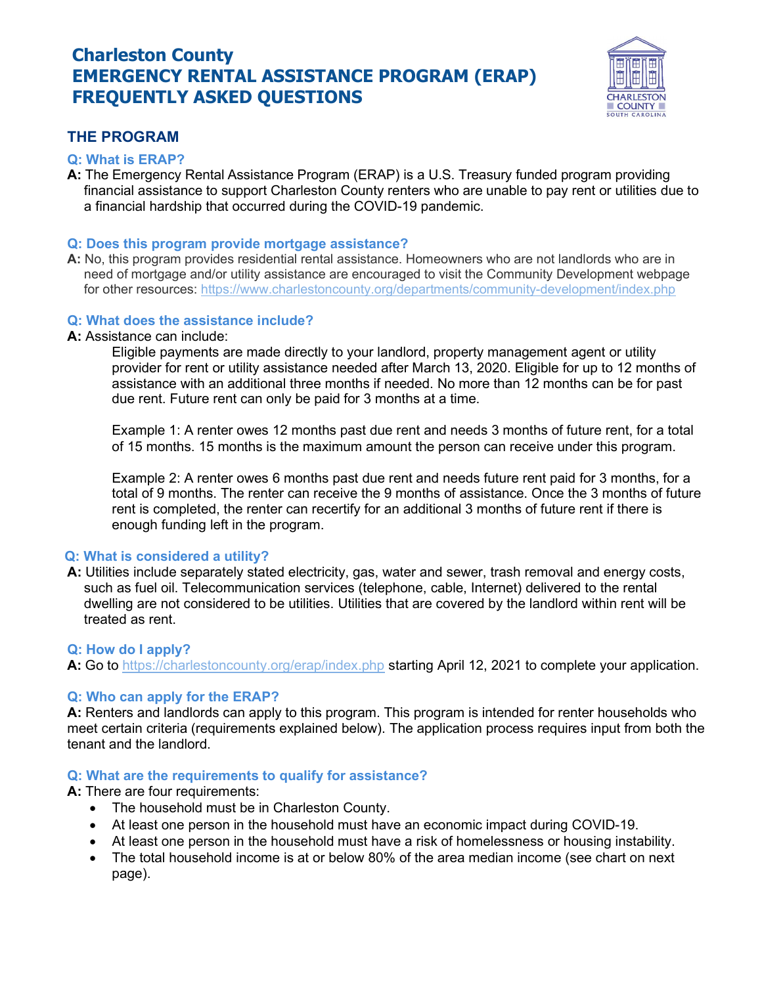# Charleston County EMERGENCY RENTAL ASSISTANCE PROGRAM (ERAP) FREQUENTLY ASKED QUESTIONS



## THE PROGRAM

## Q: What is ERAP?

A: The Emergency Rental Assistance Program (ERAP) is a U.S. Treasury funded program providing financial assistance to support Charleston County renters who are unable to pay rent or utilities due to a financial hardship that occurred during the COVID-19 pandemic.

#### Q: Does this program provide mortgage assistance?

A: No, this program provides residential rental assistance. Homeowners who are not landlords who are in need of mortgage and/or utility assistance are encouraged to visit the Community Development webpage for other resources: https://www.charlestoncounty.org/departments/community-development/index.php

#### Q: What does the assistance include?

A: Assistance can include:

Eligible payments are made directly to your landlord, property management agent or utility provider for rent or utility assistance needed after March 13, 2020. Eligible for up to 12 months of assistance with an additional three months if needed. No more than 12 months can be for past due rent. Future rent can only be paid for 3 months at a time.

Example 1: A renter owes 12 months past due rent and needs 3 months of future rent, for a total of 15 months. 15 months is the maximum amount the person can receive under this program.

Example 2: A renter owes 6 months past due rent and needs future rent paid for 3 months, for a total of 9 months. The renter can receive the 9 months of assistance. Once the 3 months of future rent is completed, the renter can recertify for an additional 3 months of future rent if there is enough funding left in the program.

## Q: What is considered a utility?

A: Utilities include separately stated electricity, gas, water and sewer, trash removal and energy costs, such as fuel oil. Telecommunication services (telephone, cable, Internet) delivered to the rental dwelling are not considered to be utilities. Utilities that are covered by the landlord within rent will be treated as rent.

## Q: How do I apply?

A: Go to https://charlestoncounty.org/erap/index.php starting April 12, 2021 to complete your application.

## Q: Who can apply for the ERAP?

A: Renters and landlords can apply to this program. This program is intended for renter households who meet certain criteria (requirements explained below). The application process requires input from both the tenant and the landlord.

## Q: What are the requirements to qualify for assistance?

A: There are four requirements:

- The household must be in Charleston County.
- At least one person in the household must have an economic impact during COVID-19.
- At least one person in the household must have a risk of homelessness or housing instability.
- The total household income is at or below 80% of the area median income (see chart on next page).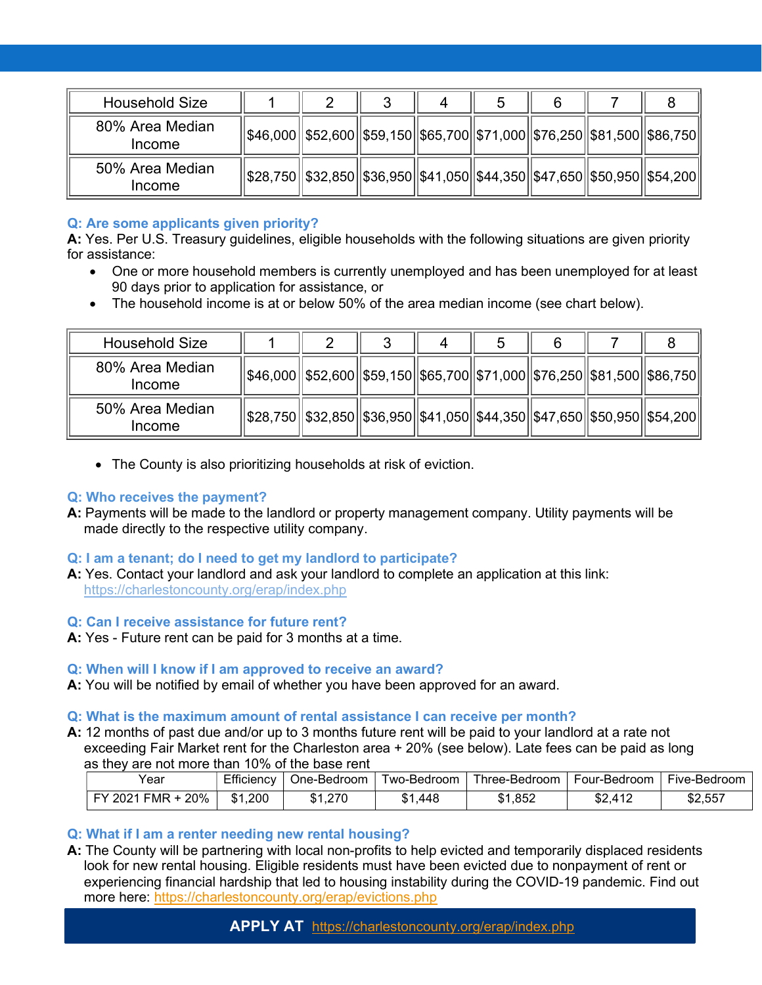| <b>Household Size</b>     |                                                                                |  |  |  |  |
|---------------------------|--------------------------------------------------------------------------------|--|--|--|--|
| 80% Area Median<br>Income | \$46,000  \$52,600  \$59,150  \$65,700  \$71,000  \$76,250  \$81,500  \$86,750 |  |  |  |  |
| 50% Area Median<br>Income | \$28,750  \$32,850  \$36,950  \$41,050  \$44,350  \$47,650  \$50,950  \$54,200 |  |  |  |  |

## Q: Are some applicants given priority?

A: Yes. Per U.S. Treasury quidelines, eligible households with the following situations are given priority for assistance:

- One or more household members is currently unemployed and has been unemployed for at least 90 days prior to application for assistance, or
- The household income is at or below 50% of the area median income (see chart below).

| <b>Household Size</b>     |                                                                                |  |  |  |  |
|---------------------------|--------------------------------------------------------------------------------|--|--|--|--|
| 80% Area Median<br>Income | \$46,000  \$52,600  \$59,150  \$65,700  \$71,000  \$76,250  \$81,500  \$86,750 |  |  |  |  |
| 50% Area Median<br>Income | \$28,750  \$32,850  \$36,950  \$41,050  \$44,350  \$47,650  \$50,950  \$54,200 |  |  |  |  |

The County is also prioritizing households at risk of eviction.

## Q: Who receives the payment?

A: Payments will be made to the landlord or property management company. Utility payments will be made directly to the respective utility company.

## Q: I am a tenant; do I need to get my landlord to participate?

A: Yes. Contact your landlord and ask your landlord to complete an application at this link: https://charlestoncounty.org/erap/index.php

## Q: Can I receive assistance for future rent?

A: Yes - Future rent can be paid for 3 months at a time.

## Q: When will I know if I am approved to receive an award?

A: You will be notified by email of whether you have been approved for an award.

## Q: What is the maximum amount of rental assistance I can receive per month?

A: 12 months of past due and/or up to 3 months future rent will be paid to your landlord at a rate not exceeding Fair Market rent for the Charleston area + 20% (see below). Late fees can be paid as long as they are not more than 10% of the base rent

| Year                  | Efficiency | One-Bedroom | Two-Bedroom. | Three-Bedroom | Four-Bedroom  | Five-Bedroom |
|-----------------------|------------|-------------|--------------|---------------|---------------|--------------|
|                       |            |             |              |               |               |              |
| 20%<br>FMR<br>FY 2021 | \$1,200    | \$1,270     | \$1,448      | \$1,852       | \$2.412<br>Φ∠ | \$2,557      |

## Q: What if I am a renter needing new rental housing?

A: The County will be partnering with local non-profits to help evicted and temporarily displaced residents look for new rental housing. Eligible residents must have been evicted due to nonpayment of rent or experiencing financial hardship that led to housing instability during the COVID-19 pandemic. Find out more here: https://charlestoncounty.org/erap/evictions.php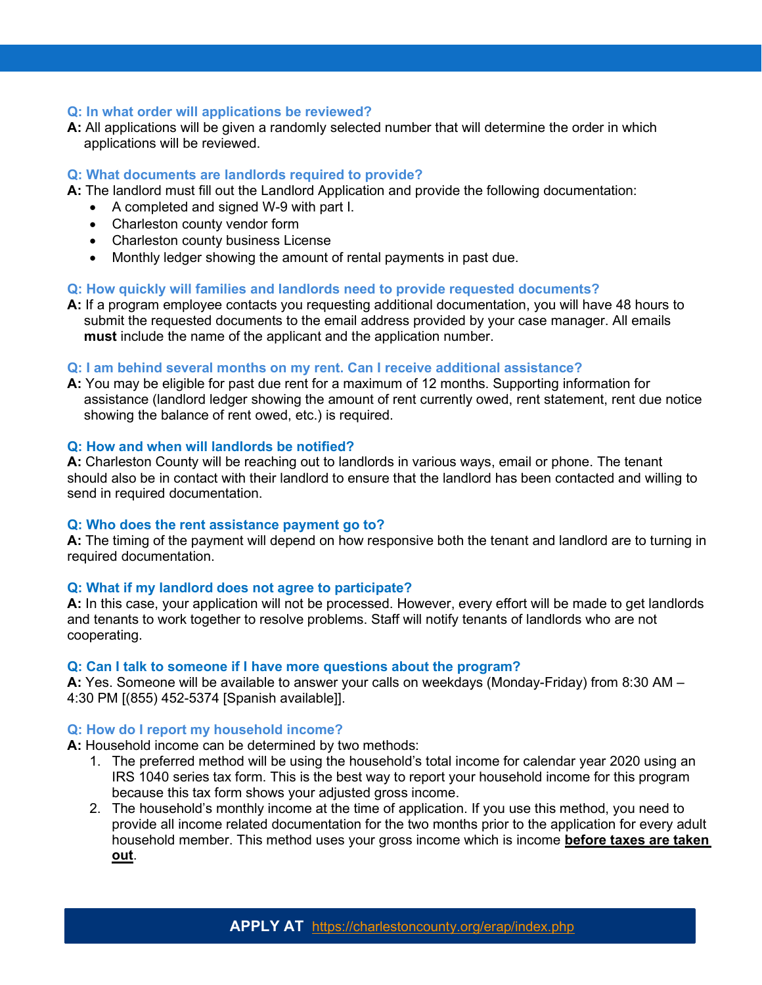#### Q: In what order will applications be reviewed?

A: All applications will be given a randomly selected number that will determine the order in which applications will be reviewed.

#### Q: What documents are landlords required to provide?

- A: The landlord must fill out the Landlord Application and provide the following documentation:
	- A completed and signed W-9 with part I.
	- Charleston county vendor form
	- Charleston county business License
	- Monthly ledger showing the amount of rental payments in past due.

#### Q: How quickly will families and landlords need to provide requested documents?

A: If a program employee contacts you requesting additional documentation, you will have 48 hours to submit the requested documents to the email address provided by your case manager. All emails must include the name of the applicant and the application number.

#### Q: I am behind several months on my rent. Can I receive additional assistance?

A: You may be eligible for past due rent for a maximum of 12 months. Supporting information for assistance (landlord ledger showing the amount of rent currently owed, rent statement, rent due notice showing the balance of rent owed, etc.) is required.

#### Q: How and when will landlords be notified?

A: Charleston County will be reaching out to landlords in various ways, email or phone. The tenant should also be in contact with their landlord to ensure that the landlord has been contacted and willing to send in required documentation.

#### Q: Who does the rent assistance payment go to?

A: The timing of the payment will depend on how responsive both the tenant and landlord are to turning in required documentation.

#### Q: What if my landlord does not agree to participate?

A: In this case, your application will not be processed. However, every effort will be made to get landlords and tenants to work together to resolve problems. Staff will notify tenants of landlords who are not cooperating.

#### Q: Can I talk to someone if I have more questions about the program?

A: Yes. Someone will be available to answer your calls on weekdays (Monday-Friday) from 8:30 AM – 4:30 PM [(855) 452-5374 [Spanish available]].

#### Q: How do I report my household income?

A: Household income can be determined by two methods:

- 1. The preferred method will be using the household's total income for calendar year 2020 using an IRS 1040 series tax form. This is the best way to report your household income for this program because this tax form shows your adjusted gross income.
- 2. The household's monthly income at the time of application. If you use this method, you need to provide all income related documentation for the two months prior to the application for every adult household member. This method uses your gross income which is income **before taxes are taken** out.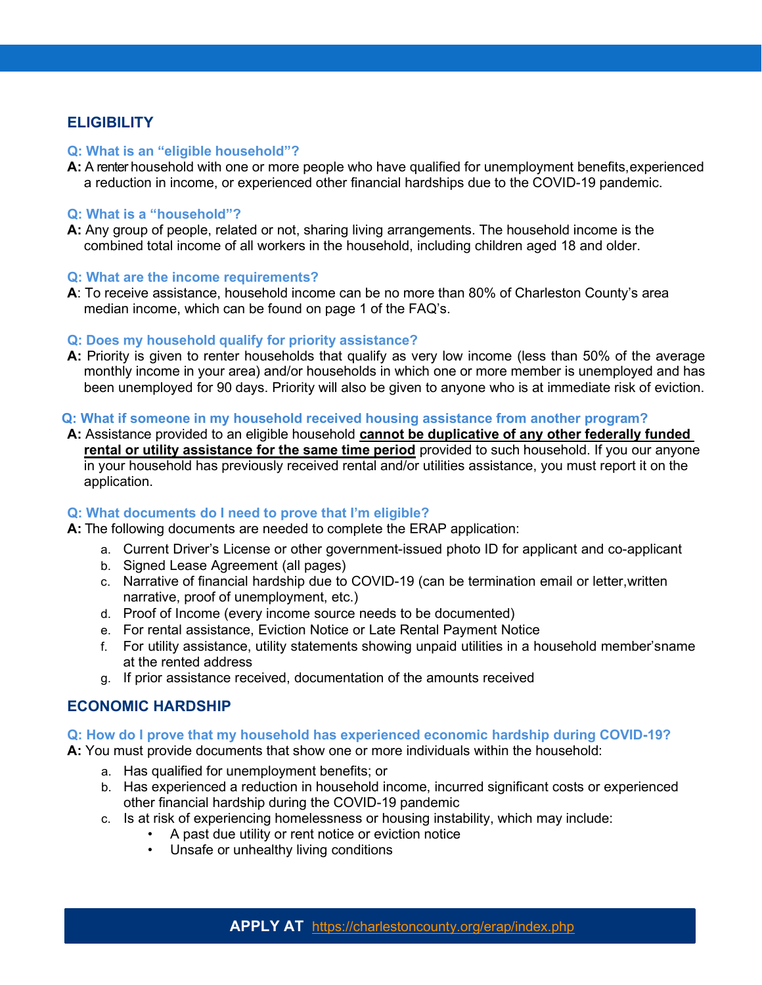## **ELIGIBILITY**

#### Q: What is an "eligible household"?

A: A renter household with one or more people who have qualified for unemployment benefits, experienced a reduction in income, or experienced other financial hardships due to the COVID-19 pandemic.

#### Q: What is a "household"?

A: Any group of people, related or not, sharing living arrangements. The household income is the combined total income of all workers in the household, including children aged 18 and older.

#### Q: What are the income requirements?

A: To receive assistance, household income can be no more than 80% of Charleston County's area median income, which can be found on page 1 of the FAQ's.

#### Q: Does my household qualify for priority assistance?

A: Priority is given to renter households that qualify as very low income (less than 50% of the average monthly income in your area) and/or households in which one or more member is unemployed and has been unemployed for 90 days. Priority will also be given to anyone who is at immediate risk of eviction.

#### Q: What if someone in my household received housing assistance from another program?

A: Assistance provided to an eligible household cannot be duplicative of any other federally funded rental or utility assistance for the same time period provided to such household. If you our anyone in your household has previously received rental and/or utilities assistance, you must report it on the application.

## Q: What documents do I need to prove that I'm eligible?

A: The following documents are needed to complete the ERAP application:

- a. Current Driver's License or other government-issued photo ID for applicant and co- applicant
- b. Signed Lease Agreement (all pages)
- c. Narrative of financial hardship due to COVID-19 (can be termination email or letter, written narrative, proof of unemployment, etc.)
- d. Proof of Income (every income source needs to be documented)
- e. For rental assistance, Eviction Notice or Late Rental Payment Notice
- f. For utility assistance, utility statements showing unpaid utilities in a household member's name at the rented address
- g. If prior assistance received, documentation of the amounts received

## ECONOMIC HARDSHIP

#### Q: How do I prove that my household has experienced economic hardship during COVID-19?

A: You must provide documents that show one or more individuals within the household:

- a. Has qualified for unemployment benefits; or
- b. Has experienced a reduction in household income, incurred significant costs or experienced other financial hardship during the COVID-19 pandemic
- c. Is at risk of experiencing homelessness or housing instability, which may include:
	- A past due utility or rent notice or eviction notice
		- Unsafe or unhealthy living conditions